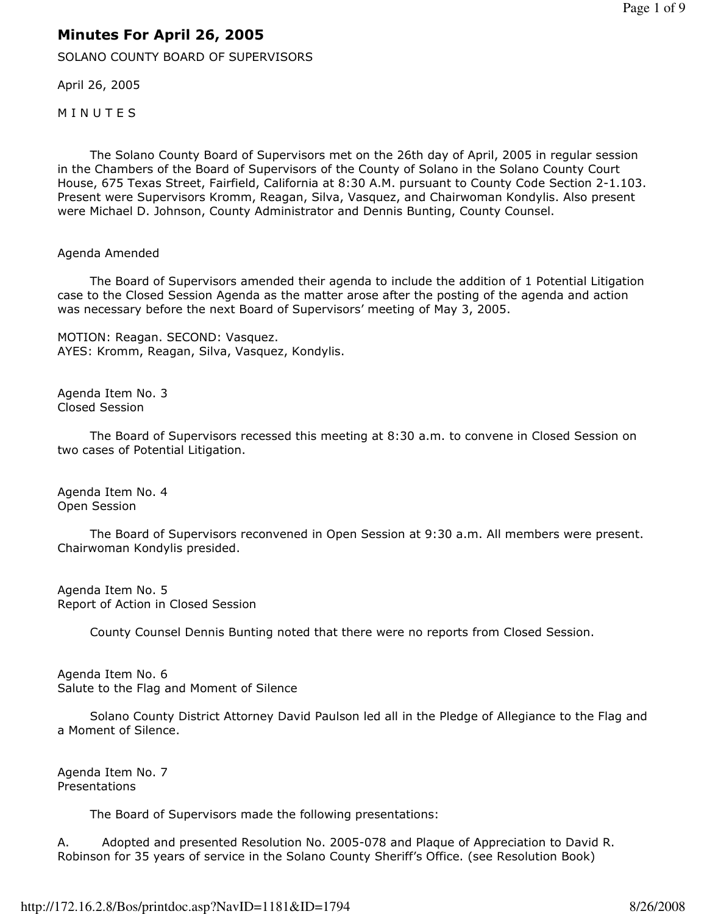## Minutes For April 26, 2005

SOLANO COUNTY BOARD OF SUPERVISORS

April 26, 2005

**MINUTES** 

 The Solano County Board of Supervisors met on the 26th day of April, 2005 in regular session in the Chambers of the Board of Supervisors of the County of Solano in the Solano County Court House, 675 Texas Street, Fairfield, California at 8:30 A.M. pursuant to County Code Section 2-1.103. Present were Supervisors Kromm, Reagan, Silva, Vasquez, and Chairwoman Kondylis. Also present were Michael D. Johnson, County Administrator and Dennis Bunting, County Counsel.

## Agenda Amended

 The Board of Supervisors amended their agenda to include the addition of 1 Potential Litigation case to the Closed Session Agenda as the matter arose after the posting of the agenda and action was necessary before the next Board of Supervisors' meeting of May 3, 2005.

MOTION: Reagan. SECOND: Vasquez. AYES: Kromm, Reagan, Silva, Vasquez, Kondylis.

Agenda Item No. 3 Closed Session

 The Board of Supervisors recessed this meeting at 8:30 a.m. to convene in Closed Session on two cases of Potential Litigation.

Agenda Item No. 4 Open Session

 The Board of Supervisors reconvened in Open Session at 9:30 a.m. All members were present. Chairwoman Kondylis presided.

Agenda Item No. 5 Report of Action in Closed Session

County Counsel Dennis Bunting noted that there were no reports from Closed Session.

Agenda Item No. 6 Salute to the Flag and Moment of Silence

 Solano County District Attorney David Paulson led all in the Pledge of Allegiance to the Flag and a Moment of Silence.

Agenda Item No. 7 Presentations

The Board of Supervisors made the following presentations:

A. Adopted and presented Resolution No. 2005-078 and Plaque of Appreciation to David R. Robinson for 35 years of service in the Solano County Sheriff's Office. (see Resolution Book)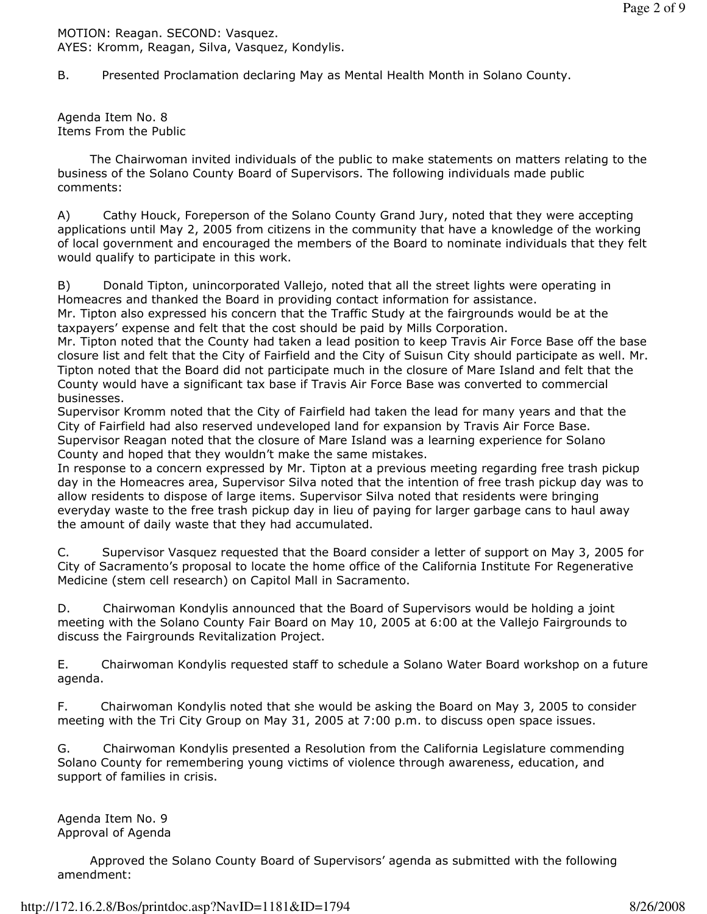MOTION: Reagan. SECOND: Vasquez. AYES: Kromm, Reagan, Silva, Vasquez, Kondylis.

B. Presented Proclamation declaring May as Mental Health Month in Solano County.

Agenda Item No. 8 Items From the Public

 The Chairwoman invited individuals of the public to make statements on matters relating to the business of the Solano County Board of Supervisors. The following individuals made public comments:

A) Cathy Houck, Foreperson of the Solano County Grand Jury, noted that they were accepting applications until May 2, 2005 from citizens in the community that have a knowledge of the working of local government and encouraged the members of the Board to nominate individuals that they felt would qualify to participate in this work.

B) Donald Tipton, unincorporated Vallejo, noted that all the street lights were operating in Homeacres and thanked the Board in providing contact information for assistance.

Mr. Tipton also expressed his concern that the Traffic Study at the fairgrounds would be at the taxpayers' expense and felt that the cost should be paid by Mills Corporation.

Mr. Tipton noted that the County had taken a lead position to keep Travis Air Force Base off the base closure list and felt that the City of Fairfield and the City of Suisun City should participate as well. Mr. Tipton noted that the Board did not participate much in the closure of Mare Island and felt that the County would have a significant tax base if Travis Air Force Base was converted to commercial businesses.

Supervisor Kromm noted that the City of Fairfield had taken the lead for many years and that the City of Fairfield had also reserved undeveloped land for expansion by Travis Air Force Base. Supervisor Reagan noted that the closure of Mare Island was a learning experience for Solano County and hoped that they wouldn't make the same mistakes.

In response to a concern expressed by Mr. Tipton at a previous meeting regarding free trash pickup day in the Homeacres area, Supervisor Silva noted that the intention of free trash pickup day was to allow residents to dispose of large items. Supervisor Silva noted that residents were bringing everyday waste to the free trash pickup day in lieu of paying for larger garbage cans to haul away the amount of daily waste that they had accumulated.

C. Supervisor Vasquez requested that the Board consider a letter of support on May 3, 2005 for City of Sacramento's proposal to locate the home office of the California Institute For Regenerative Medicine (stem cell research) on Capitol Mall in Sacramento.

D. Chairwoman Kondylis announced that the Board of Supervisors would be holding a joint meeting with the Solano County Fair Board on May 10, 2005 at 6:00 at the Vallejo Fairgrounds to discuss the Fairgrounds Revitalization Project.

E. Chairwoman Kondylis requested staff to schedule a Solano Water Board workshop on a future agenda.

F. Chairwoman Kondylis noted that she would be asking the Board on May 3, 2005 to consider meeting with the Tri City Group on May 31, 2005 at 7:00 p.m. to discuss open space issues.

G. Chairwoman Kondylis presented a Resolution from the California Legislature commending Solano County for remembering young victims of violence through awareness, education, and support of families in crisis.

Agenda Item No. 9 Approval of Agenda

 Approved the Solano County Board of Supervisors' agenda as submitted with the following amendment: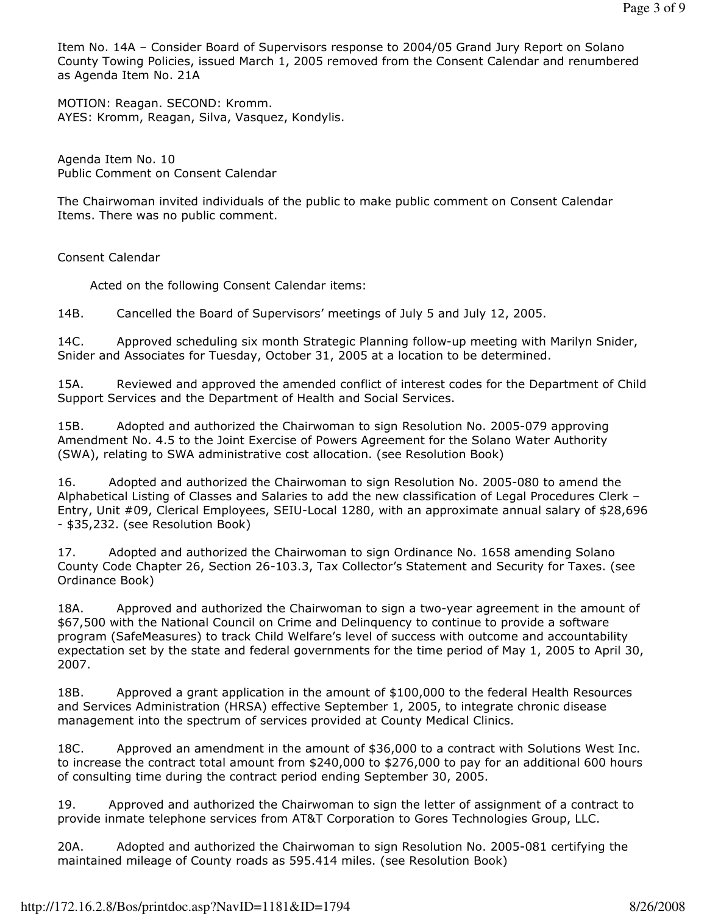Item No. 14A – Consider Board of Supervisors response to 2004/05 Grand Jury Report on Solano County Towing Policies, issued March 1, 2005 removed from the Consent Calendar and renumbered as Agenda Item No. 21A

MOTION: Reagan. SECOND: Kromm. AYES: Kromm, Reagan, Silva, Vasquez, Kondylis.

Agenda Item No. 10 Public Comment on Consent Calendar

The Chairwoman invited individuals of the public to make public comment on Consent Calendar Items. There was no public comment.

Consent Calendar

Acted on the following Consent Calendar items:

14B. Cancelled the Board of Supervisors' meetings of July 5 and July 12, 2005.

14C. Approved scheduling six month Strategic Planning follow-up meeting with Marilyn Snider, Snider and Associates for Tuesday, October 31, 2005 at a location to be determined.

15A. Reviewed and approved the amended conflict of interest codes for the Department of Child Support Services and the Department of Health and Social Services.

15B. Adopted and authorized the Chairwoman to sign Resolution No. 2005-079 approving Amendment No. 4.5 to the Joint Exercise of Powers Agreement for the Solano Water Authority (SWA), relating to SWA administrative cost allocation. (see Resolution Book)

16. Adopted and authorized the Chairwoman to sign Resolution No. 2005-080 to amend the Alphabetical Listing of Classes and Salaries to add the new classification of Legal Procedures Clerk – Entry, Unit #09, Clerical Employees, SEIU-Local 1280, with an approximate annual salary of \$28,696 - \$35,232. (see Resolution Book)

17. Adopted and authorized the Chairwoman to sign Ordinance No. 1658 amending Solano County Code Chapter 26, Section 26-103.3, Tax Collector's Statement and Security for Taxes. (see Ordinance Book)

18A. Approved and authorized the Chairwoman to sign a two-year agreement in the amount of \$67,500 with the National Council on Crime and Delinquency to continue to provide a software program (SafeMeasures) to track Child Welfare's level of success with outcome and accountability expectation set by the state and federal governments for the time period of May 1, 2005 to April 30, 2007.

18B. Approved a grant application in the amount of \$100,000 to the federal Health Resources and Services Administration (HRSA) effective September 1, 2005, to integrate chronic disease management into the spectrum of services provided at County Medical Clinics.

18C. Approved an amendment in the amount of \$36,000 to a contract with Solutions West Inc. to increase the contract total amount from \$240,000 to \$276,000 to pay for an additional 600 hours of consulting time during the contract period ending September 30, 2005.

19. Approved and authorized the Chairwoman to sign the letter of assignment of a contract to provide inmate telephone services from AT&T Corporation to Gores Technologies Group, LLC.

20A. Adopted and authorized the Chairwoman to sign Resolution No. 2005-081 certifying the maintained mileage of County roads as 595.414 miles. (see Resolution Book)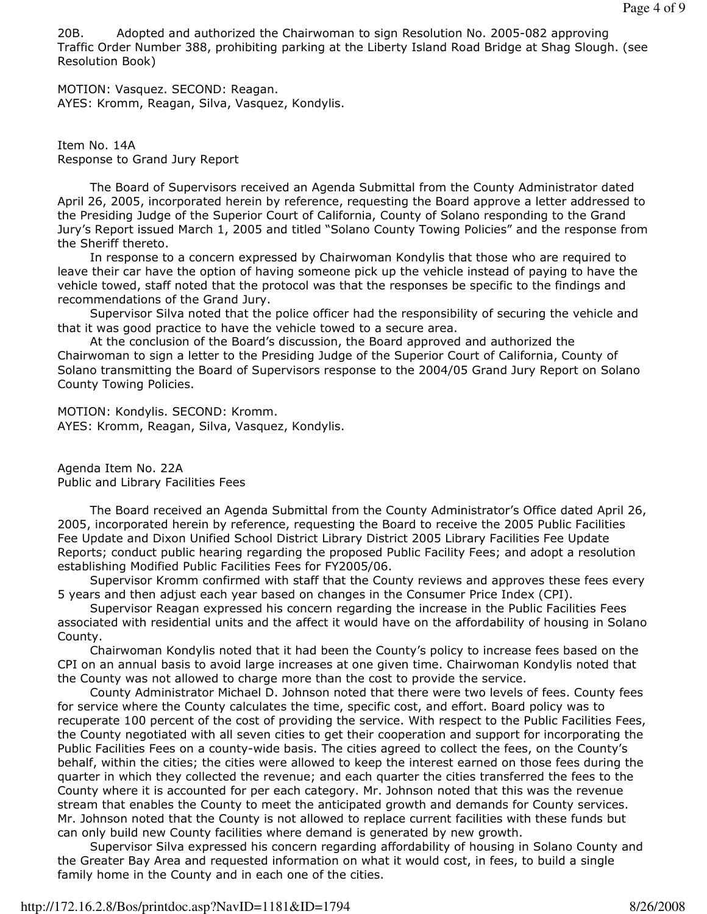20B. Adopted and authorized the Chairwoman to sign Resolution No. 2005-082 approving Traffic Order Number 388, prohibiting parking at the Liberty Island Road Bridge at Shag Slough. (see Resolution Book)

MOTION: Vasquez. SECOND: Reagan. AYES: Kromm, Reagan, Silva, Vasquez, Kondylis.

Item No. 14A Response to Grand Jury Report

 The Board of Supervisors received an Agenda Submittal from the County Administrator dated April 26, 2005, incorporated herein by reference, requesting the Board approve a letter addressed to the Presiding Judge of the Superior Court of California, County of Solano responding to the Grand Jury's Report issued March 1, 2005 and titled "Solano County Towing Policies" and the response from the Sheriff thereto.

 In response to a concern expressed by Chairwoman Kondylis that those who are required to leave their car have the option of having someone pick up the vehicle instead of paying to have the vehicle towed, staff noted that the protocol was that the responses be specific to the findings and recommendations of the Grand Jury.

 Supervisor Silva noted that the police officer had the responsibility of securing the vehicle and that it was good practice to have the vehicle towed to a secure area.

 At the conclusion of the Board's discussion, the Board approved and authorized the Chairwoman to sign a letter to the Presiding Judge of the Superior Court of California, County of Solano transmitting the Board of Supervisors response to the 2004/05 Grand Jury Report on Solano County Towing Policies.

MOTION: Kondylis. SECOND: Kromm. AYES: Kromm, Reagan, Silva, Vasquez, Kondylis.

Agenda Item No. 22A Public and Library Facilities Fees

 The Board received an Agenda Submittal from the County Administrator's Office dated April 26, 2005, incorporated herein by reference, requesting the Board to receive the 2005 Public Facilities Fee Update and Dixon Unified School District Library District 2005 Library Facilities Fee Update Reports; conduct public hearing regarding the proposed Public Facility Fees; and adopt a resolution establishing Modified Public Facilities Fees for FY2005/06.

 Supervisor Kromm confirmed with staff that the County reviews and approves these fees every 5 years and then adjust each year based on changes in the Consumer Price Index (CPI).

 Supervisor Reagan expressed his concern regarding the increase in the Public Facilities Fees associated with residential units and the affect it would have on the affordability of housing in Solano County.

 Chairwoman Kondylis noted that it had been the County's policy to increase fees based on the CPI on an annual basis to avoid large increases at one given time. Chairwoman Kondylis noted that the County was not allowed to charge more than the cost to provide the service.

 County Administrator Michael D. Johnson noted that there were two levels of fees. County fees for service where the County calculates the time, specific cost, and effort. Board policy was to recuperate 100 percent of the cost of providing the service. With respect to the Public Facilities Fees, the County negotiated with all seven cities to get their cooperation and support for incorporating the Public Facilities Fees on a county-wide basis. The cities agreed to collect the fees, on the County's behalf, within the cities; the cities were allowed to keep the interest earned on those fees during the quarter in which they collected the revenue; and each quarter the cities transferred the fees to the County where it is accounted for per each category. Mr. Johnson noted that this was the revenue stream that enables the County to meet the anticipated growth and demands for County services. Mr. Johnson noted that the County is not allowed to replace current facilities with these funds but can only build new County facilities where demand is generated by new growth.

 Supervisor Silva expressed his concern regarding affordability of housing in Solano County and the Greater Bay Area and requested information on what it would cost, in fees, to build a single family home in the County and in each one of the cities.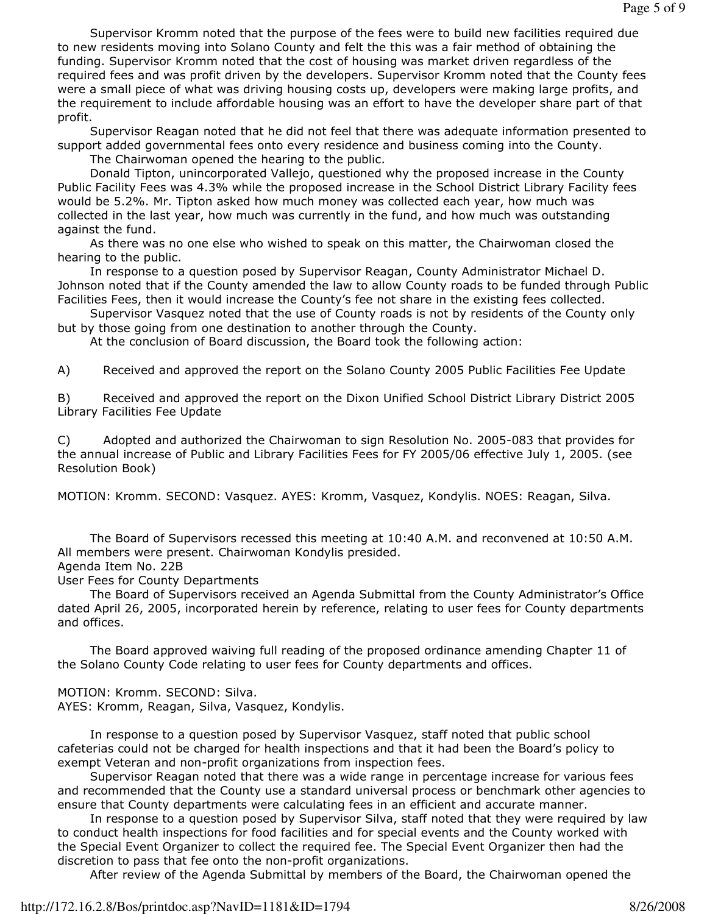Supervisor Kromm noted that the purpose of the fees were to build new facilities required due to new residents moving into Solano County and felt the this was a fair method of obtaining the funding. Supervisor Kromm noted that the cost of housing was market driven regardless of the required fees and was profit driven by the developers. Supervisor Kromm noted that the County fees were a small piece of what was driving housing costs up, developers were making large profits, and the requirement to include affordable housing was an effort to have the developer share part of that profit.

 Supervisor Reagan noted that he did not feel that there was adequate information presented to support added governmental fees onto every residence and business coming into the County.

The Chairwoman opened the hearing to the public.

 Donald Tipton, unincorporated Vallejo, questioned why the proposed increase in the County Public Facility Fees was 4.3% while the proposed increase in the School District Library Facility fees would be 5.2%. Mr. Tipton asked how much money was collected each year, how much was collected in the last year, how much was currently in the fund, and how much was outstanding against the fund.

 As there was no one else who wished to speak on this matter, the Chairwoman closed the hearing to the public.

 In response to a question posed by Supervisor Reagan, County Administrator Michael D. Johnson noted that if the County amended the law to allow County roads to be funded through Public Facilities Fees, then it would increase the County's fee not share in the existing fees collected.

 Supervisor Vasquez noted that the use of County roads is not by residents of the County only but by those going from one destination to another through the County.

At the conclusion of Board discussion, the Board took the following action:

A) Received and approved the report on the Solano County 2005 Public Facilities Fee Update

B) Received and approved the report on the Dixon Unified School District Library District 2005 Library Facilities Fee Update

C) Adopted and authorized the Chairwoman to sign Resolution No. 2005-083 that provides for the annual increase of Public and Library Facilities Fees for FY 2005/06 effective July 1, 2005. (see Resolution Book)

MOTION: Kromm. SECOND: Vasquez. AYES: Kromm, Vasquez, Kondylis. NOES: Reagan, Silva.

 The Board of Supervisors recessed this meeting at 10:40 A.M. and reconvened at 10:50 A.M. All members were present. Chairwoman Kondylis presided.

## Agenda Item No. 22B

User Fees for County Departments

 The Board of Supervisors received an Agenda Submittal from the County Administrator's Office dated April 26, 2005, incorporated herein by reference, relating to user fees for County departments and offices.

 The Board approved waiving full reading of the proposed ordinance amending Chapter 11 of the Solano County Code relating to user fees for County departments and offices.

MOTION: Kromm. SECOND: Silva.

AYES: Kromm, Reagan, Silva, Vasquez, Kondylis.

 In response to a question posed by Supervisor Vasquez, staff noted that public school cafeterias could not be charged for health inspections and that it had been the Board's policy to exempt Veteran and non-profit organizations from inspection fees.

 Supervisor Reagan noted that there was a wide range in percentage increase for various fees and recommended that the County use a standard universal process or benchmark other agencies to ensure that County departments were calculating fees in an efficient and accurate manner.

 In response to a question posed by Supervisor Silva, staff noted that they were required by law to conduct health inspections for food facilities and for special events and the County worked with the Special Event Organizer to collect the required fee. The Special Event Organizer then had the discretion to pass that fee onto the non-profit organizations.

After review of the Agenda Submittal by members of the Board, the Chairwoman opened the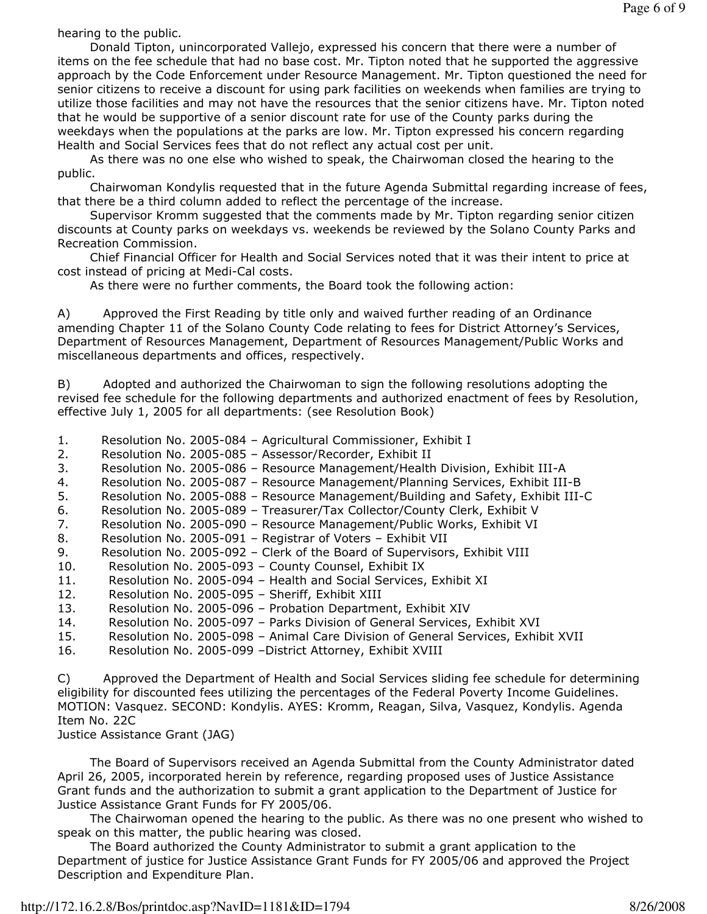hearing to the public.

 Donald Tipton, unincorporated Vallejo, expressed his concern that there were a number of items on the fee schedule that had no base cost. Mr. Tipton noted that he supported the aggressive approach by the Code Enforcement under Resource Management. Mr. Tipton questioned the need for senior citizens to receive a discount for using park facilities on weekends when families are trying to utilize those facilities and may not have the resources that the senior citizens have. Mr. Tipton noted that he would be supportive of a senior discount rate for use of the County parks during the weekdays when the populations at the parks are low. Mr. Tipton expressed his concern regarding Health and Social Services fees that do not reflect any actual cost per unit.

 As there was no one else who wished to speak, the Chairwoman closed the hearing to the public.

 Chairwoman Kondylis requested that in the future Agenda Submittal regarding increase of fees, that there be a third column added to reflect the percentage of the increase.

 Supervisor Kromm suggested that the comments made by Mr. Tipton regarding senior citizen discounts at County parks on weekdays vs. weekends be reviewed by the Solano County Parks and Recreation Commission.

 Chief Financial Officer for Health and Social Services noted that it was their intent to price at cost instead of pricing at Medi-Cal costs.

As there were no further comments, the Board took the following action:

A) Approved the First Reading by title only and waived further reading of an Ordinance amending Chapter 11 of the Solano County Code relating to fees for District Attorney's Services, Department of Resources Management, Department of Resources Management/Public Works and miscellaneous departments and offices, respectively.

B) Adopted and authorized the Chairwoman to sign the following resolutions adopting the revised fee schedule for the following departments and authorized enactment of fees by Resolution, effective July 1, 2005 for all departments: (see Resolution Book)

- 1. Resolution No. 2005-084 Agricultural Commissioner, Exhibit I
- 2. Resolution No. 2005-085 Assessor/Recorder, Exhibit II
- 3. Resolution No. 2005-086 Resource Management/Health Division, Exhibit III-A
- 4. Resolution No. 2005-087 Resource Management/Planning Services, Exhibit III-B
- 5. Resolution No. 2005-088 Resource Management/Building and Safety, Exhibit III-C
- 6. Resolution No. 2005-089 Treasurer/Tax Collector/County Clerk, Exhibit V
- 7. Resolution No. 2005-090 Resource Management/Public Works, Exhibit VI
- 8. Resolution No. 2005-091 Registrar of Voters Exhibit VII
- 9. Resolution No. 2005-092 Clerk of the Board of Supervisors, Exhibit VIII
- 10. Resolution No. 2005-093 County Counsel, Exhibit IX<br>11. Resolution No. 2005-094 Health and Social Services,
- Resolution No. 2005-094 Health and Social Services, Exhibit XI
- 12. Resolution No. 2005-095 Sheriff, Exhibit XIII
- 13. Resolution No. 2005-096 Probation Department, Exhibit XIV
- 14. Resolution No. 2005-097 Parks Division of General Services, Exhibit XVI
- 15. Resolution No. 2005-098 Animal Care Division of General Services, Exhibit XVII
- 16. Resolution No. 2005-099 –District Attorney, Exhibit XVIII

C) Approved the Department of Health and Social Services sliding fee schedule for determining eligibility for discounted fees utilizing the percentages of the Federal Poverty Income Guidelines. MOTION: Vasquez. SECOND: Kondylis. AYES: Kromm, Reagan, Silva, Vasquez, Kondylis. Agenda Item No. 22C

Justice Assistance Grant (JAG)

 The Board of Supervisors received an Agenda Submittal from the County Administrator dated April 26, 2005, incorporated herein by reference, regarding proposed uses of Justice Assistance Grant funds and the authorization to submit a grant application to the Department of Justice for Justice Assistance Grant Funds for FY 2005/06.

 The Chairwoman opened the hearing to the public. As there was no one present who wished to speak on this matter, the public hearing was closed.

 The Board authorized the County Administrator to submit a grant application to the Department of justice for Justice Assistance Grant Funds for FY 2005/06 and approved the Project Description and Expenditure Plan.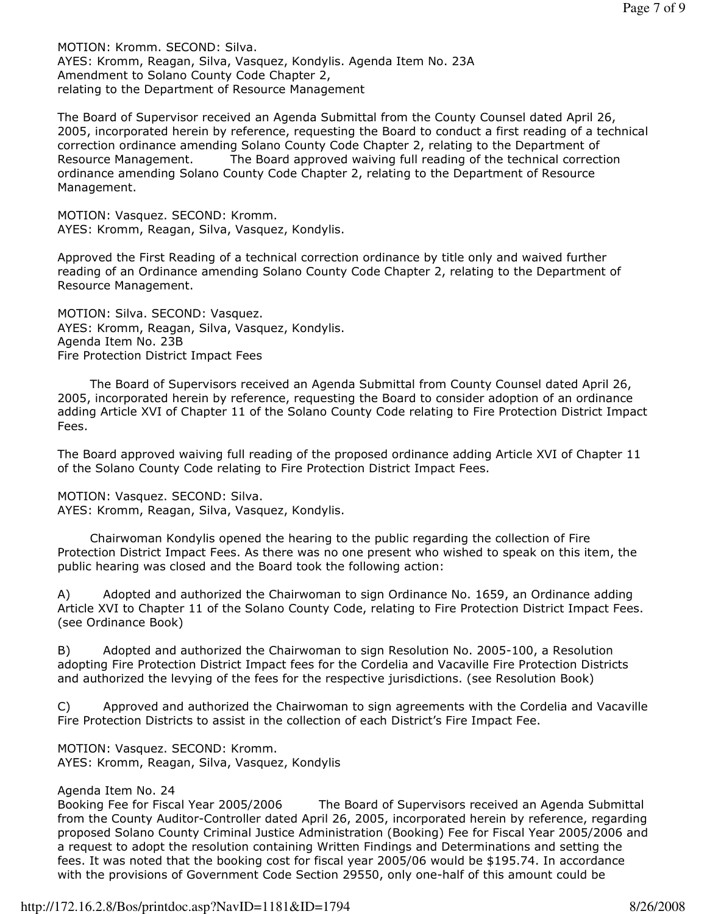MOTION: Kromm. SECOND: Silva. AYES: Kromm, Reagan, Silva, Vasquez, Kondylis. Agenda Item No. 23A Amendment to Solano County Code Chapter 2, relating to the Department of Resource Management

The Board of Supervisor received an Agenda Submittal from the County Counsel dated April 26, 2005, incorporated herein by reference, requesting the Board to conduct a first reading of a technical correction ordinance amending Solano County Code Chapter 2, relating to the Department of Resource Management. The Board approved waiving full reading of the technical correction ordinance amending Solano County Code Chapter 2, relating to the Department of Resource Management.

MOTION: Vasquez. SECOND: Kromm. AYES: Kromm, Reagan, Silva, Vasquez, Kondylis.

Approved the First Reading of a technical correction ordinance by title only and waived further reading of an Ordinance amending Solano County Code Chapter 2, relating to the Department of Resource Management.

MOTION: Silva. SECOND: Vasquez. AYES: Kromm, Reagan, Silva, Vasquez, Kondylis. Agenda Item No. 23B Fire Protection District Impact Fees

 The Board of Supervisors received an Agenda Submittal from County Counsel dated April 26, 2005, incorporated herein by reference, requesting the Board to consider adoption of an ordinance adding Article XVI of Chapter 11 of the Solano County Code relating to Fire Protection District Impact Fees.

The Board approved waiving full reading of the proposed ordinance adding Article XVI of Chapter 11 of the Solano County Code relating to Fire Protection District Impact Fees.

MOTION: Vasquez. SECOND: Silva. AYES: Kromm, Reagan, Silva, Vasquez, Kondylis.

 Chairwoman Kondylis opened the hearing to the public regarding the collection of Fire Protection District Impact Fees. As there was no one present who wished to speak on this item, the public hearing was closed and the Board took the following action:

A) Adopted and authorized the Chairwoman to sign Ordinance No. 1659, an Ordinance adding Article XVI to Chapter 11 of the Solano County Code, relating to Fire Protection District Impact Fees. (see Ordinance Book)

B) Adopted and authorized the Chairwoman to sign Resolution No. 2005-100, a Resolution adopting Fire Protection District Impact fees for the Cordelia and Vacaville Fire Protection Districts and authorized the levying of the fees for the respective jurisdictions. (see Resolution Book)

C) Approved and authorized the Chairwoman to sign agreements with the Cordelia and Vacaville Fire Protection Districts to assist in the collection of each District's Fire Impact Fee.

MOTION: Vasquez. SECOND: Kromm. AYES: Kromm, Reagan, Silva, Vasquez, Kondylis

Agenda Item No. 24

Booking Fee for Fiscal Year 2005/2006 The Board of Supervisors received an Agenda Submittal from the County Auditor-Controller dated April 26, 2005, incorporated herein by reference, regarding proposed Solano County Criminal Justice Administration (Booking) Fee for Fiscal Year 2005/2006 and a request to adopt the resolution containing Written Findings and Determinations and setting the fees. It was noted that the booking cost for fiscal year 2005/06 would be \$195.74. In accordance with the provisions of Government Code Section 29550, only one-half of this amount could be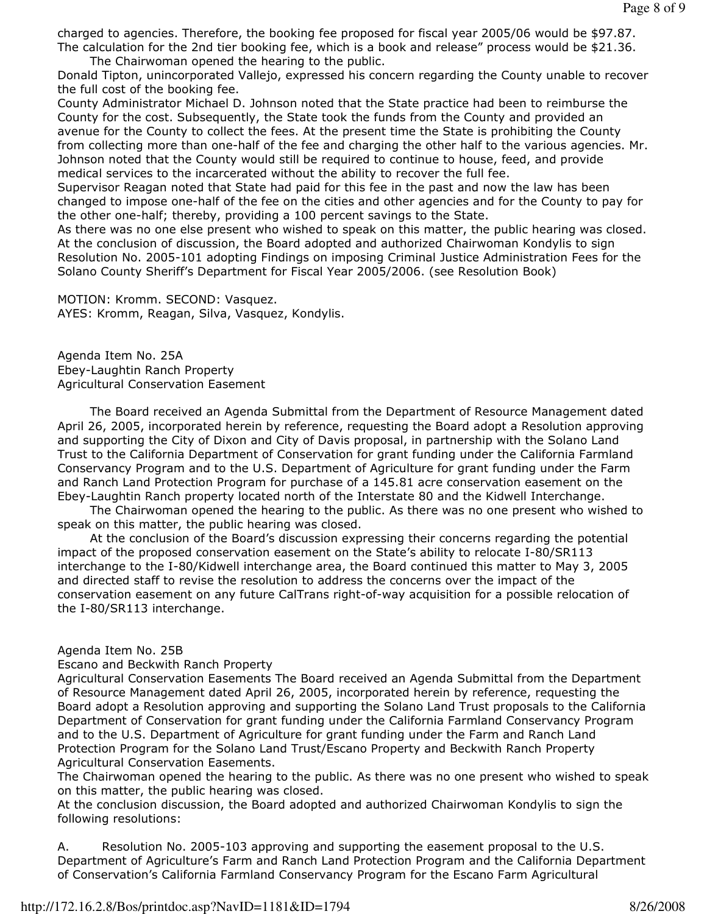charged to agencies. Therefore, the booking fee proposed for fiscal year 2005/06 would be \$97.87. The calculation for the 2nd tier booking fee, which is a book and release" process would be \$21.36. The Chairwoman opened the hearing to the public.

Donald Tipton, unincorporated Vallejo, expressed his concern regarding the County unable to recover the full cost of the booking fee.

County Administrator Michael D. Johnson noted that the State practice had been to reimburse the County for the cost. Subsequently, the State took the funds from the County and provided an avenue for the County to collect the fees. At the present time the State is prohibiting the County from collecting more than one-half of the fee and charging the other half to the various agencies. Mr. Johnson noted that the County would still be required to continue to house, feed, and provide medical services to the incarcerated without the ability to recover the full fee.

Supervisor Reagan noted that State had paid for this fee in the past and now the law has been changed to impose one-half of the fee on the cities and other agencies and for the County to pay for the other one-half; thereby, providing a 100 percent savings to the State.

As there was no one else present who wished to speak on this matter, the public hearing was closed. At the conclusion of discussion, the Board adopted and authorized Chairwoman Kondylis to sign Resolution No. 2005-101 adopting Findings on imposing Criminal Justice Administration Fees for the Solano County Sheriff's Department for Fiscal Year 2005/2006. (see Resolution Book)

MOTION: Kromm. SECOND: Vasquez. AYES: Kromm, Reagan, Silva, Vasquez, Kondylis.

Agenda Item No. 25A Ebey-Laughtin Ranch Property Agricultural Conservation Easement

 The Board received an Agenda Submittal from the Department of Resource Management dated April 26, 2005, incorporated herein by reference, requesting the Board adopt a Resolution approving and supporting the City of Dixon and City of Davis proposal, in partnership with the Solano Land Trust to the California Department of Conservation for grant funding under the California Farmland Conservancy Program and to the U.S. Department of Agriculture for grant funding under the Farm and Ranch Land Protection Program for purchase of a 145.81 acre conservation easement on the Ebey-Laughtin Ranch property located north of the Interstate 80 and the Kidwell Interchange.

 The Chairwoman opened the hearing to the public. As there was no one present who wished to speak on this matter, the public hearing was closed.

 At the conclusion of the Board's discussion expressing their concerns regarding the potential impact of the proposed conservation easement on the State's ability to relocate I-80/SR113 interchange to the I-80/Kidwell interchange area, the Board continued this matter to May 3, 2005 and directed staff to revise the resolution to address the concerns over the impact of the conservation easement on any future CalTrans right-of-way acquisition for a possible relocation of the I-80/SR113 interchange.

Agenda Item No. 25B

Escano and Beckwith Ranch Property

Agricultural Conservation Easements The Board received an Agenda Submittal from the Department of Resource Management dated April 26, 2005, incorporated herein by reference, requesting the Board adopt a Resolution approving and supporting the Solano Land Trust proposals to the California Department of Conservation for grant funding under the California Farmland Conservancy Program and to the U.S. Department of Agriculture for grant funding under the Farm and Ranch Land Protection Program for the Solano Land Trust/Escano Property and Beckwith Ranch Property Agricultural Conservation Easements.

The Chairwoman opened the hearing to the public. As there was no one present who wished to speak on this matter, the public hearing was closed.

At the conclusion discussion, the Board adopted and authorized Chairwoman Kondylis to sign the following resolutions:

A. Resolution No. 2005-103 approving and supporting the easement proposal to the U.S. Department of Agriculture's Farm and Ranch Land Protection Program and the California Department of Conservation's California Farmland Conservancy Program for the Escano Farm Agricultural